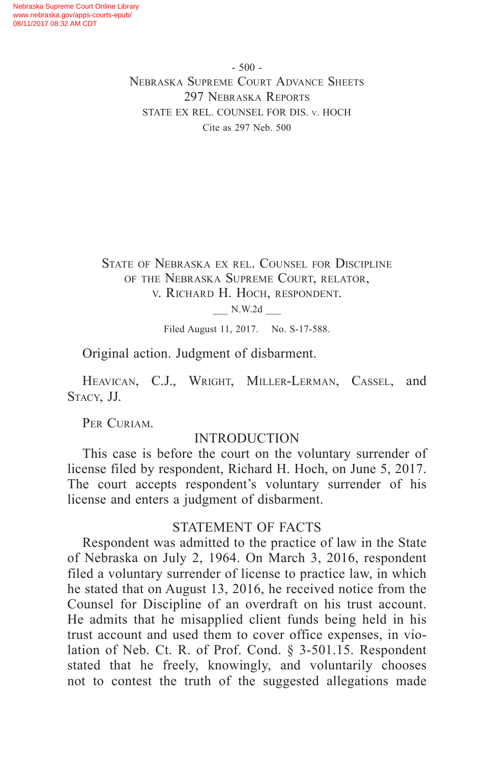$-500 -$ Nebraska Supreme Court Advance Sheets 297 Nebraska Reports STATE EX REL. COUNSEL FOR DIS. v. HOCH Cite as 297 Neb. 500

State of Nebraska ex rel. Counsel for Discipline of the Nebraska Supreme Court, relator, v. Richard H. Hoch, respondent.

\_\_\_ N.W.2d \_\_\_

Filed August 11, 2017. No. S-17-588.

Original action. Judgment of disbarment.

Heavican, C.J., Wright, Miller-Lerman, Cassel, and Stacy, JJ.

PER CURIAM.

## INTRODUCTION

This case is before the court on the voluntary surrender of license filed by respondent, Richard H. Hoch, on June 5, 2017. The court accepts respondent's voluntary surrender of his license and enters a judgment of disbarment.

## STATEMENT OF FACTS

Respondent was admitted to the practice of law in the State of Nebraska on July 2, 1964. On March 3, 2016, respondent filed a voluntary surrender of license to practice law, in which he stated that on August 13, 2016, he received notice from the Counsel for Discipline of an overdraft on his trust account. He admits that he misapplied client funds being held in his trust account and used them to cover office expenses, in violation of Neb. Ct. R. of Prof. Cond. § 3-501.15. Respondent stated that he freely, knowingly, and voluntarily chooses not to contest the truth of the suggested allegations made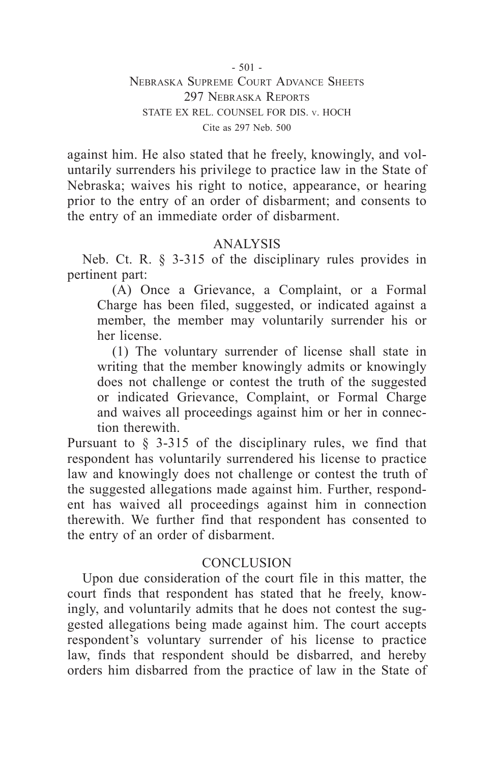$-501 -$ 

Nebraska Supreme Court Advance Sheets 297 Nebraska Reports STATE EX REL. COUNSEL FOR DIS. v. HOCH Cite as 297 Neb. 500

against him. He also stated that he freely, knowingly, and voluntarily surrenders his privilege to practice law in the State of Nebraska; waives his right to notice, appearance, or hearing prior to the entry of an order of disbarment; and consents to the entry of an immediate order of disbarment.

## ANALYSIS

Neb. Ct. R. § 3-315 of the disciplinary rules provides in pertinent part:

(A) Once a Grievance, a Complaint, or a Formal Charge has been filed, suggested, or indicated against a member, the member may voluntarily surrender his or her license.

(1) The voluntary surrender of license shall state in writing that the member knowingly admits or knowingly does not challenge or contest the truth of the suggested or indicated Grievance, Complaint, or Formal Charge and waives all proceedings against him or her in connection therewith.

Pursuant to § 3-315 of the disciplinary rules, we find that respondent has voluntarily surrendered his license to practice law and knowingly does not challenge or contest the truth of the suggested allegations made against him. Further, respondent has waived all proceedings against him in connection therewith. We further find that respondent has consented to the entry of an order of disbarment.

## CONCLUSION

Upon due consideration of the court file in this matter, the court finds that respondent has stated that he freely, knowingly, and voluntarily admits that he does not contest the suggested allegations being made against him. The court accepts respondent's voluntary surrender of his license to practice law, finds that respondent should be disbarred, and hereby orders him disbarred from the practice of law in the State of